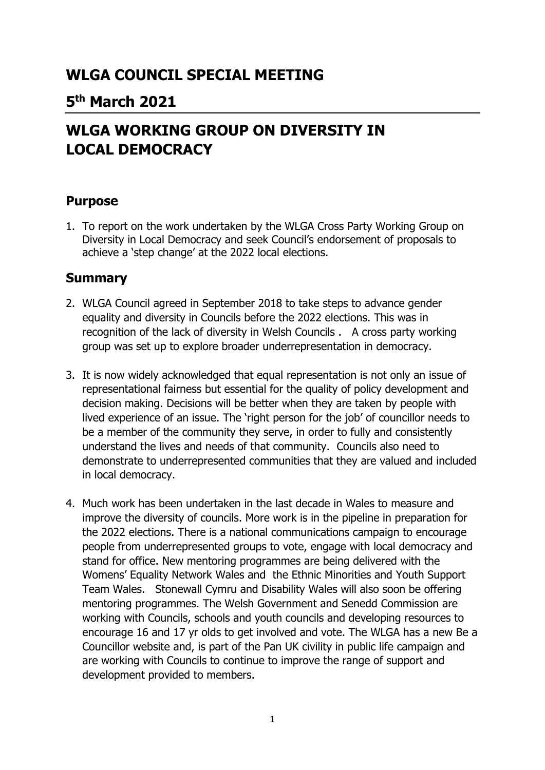# **WLGA COUNCIL SPECIAL MEETING**

# **5 th March 2021**

# **WLGA WORKING GROUP ON DIVERSITY IN LOCAL DEMOCRACY**

### **Purpose**

1. To report on the work undertaken by the WLGA Cross Party Working Group on Diversity in Local Democracy and seek Council's endorsement of proposals to achieve a 'step change' at the 2022 local elections.

### **Summary**

- 2. WLGA Council agreed in September 2018 to take steps to advance gender equality and diversity in Councils before the 2022 elections. This was in recognition of the lack of diversity in Welsh Councils . A cross party working group was set up to explore broader underrepresentation in democracy.
- 3. It is now widely acknowledged that equal representation is not only an issue of representational fairness but essential for the quality of policy development and decision making. Decisions will be better when they are taken by people with lived experience of an issue. The 'right person for the job' of councillor needs to be a member of the community they serve, in order to fully and consistently understand the lives and needs of that community. Councils also need to demonstrate to underrepresented communities that they are valued and included in local democracy.
- 4. Much work has been undertaken in the last decade in Wales to measure and improve the diversity of councils. More work is in the pipeline in preparation for the 2022 elections. There is a national communications campaign to encourage people from underrepresented groups to vote, engage with local democracy and stand for office. New mentoring programmes are being delivered with the Womens' Equality Network Wales and the Ethnic Minorities and Youth Support Team Wales. Stonewall Cymru and Disability Wales will also soon be offering mentoring programmes. The Welsh Government and Senedd Commission are working with Councils, schools and youth councils and developing resources to encourage 16 and 17 yr olds to get involved and vote. The WLGA has a new Be a Councillor website and, is part of the Pan UK civility in public life campaign and are working with Councils to continue to improve the range of support and development provided to members.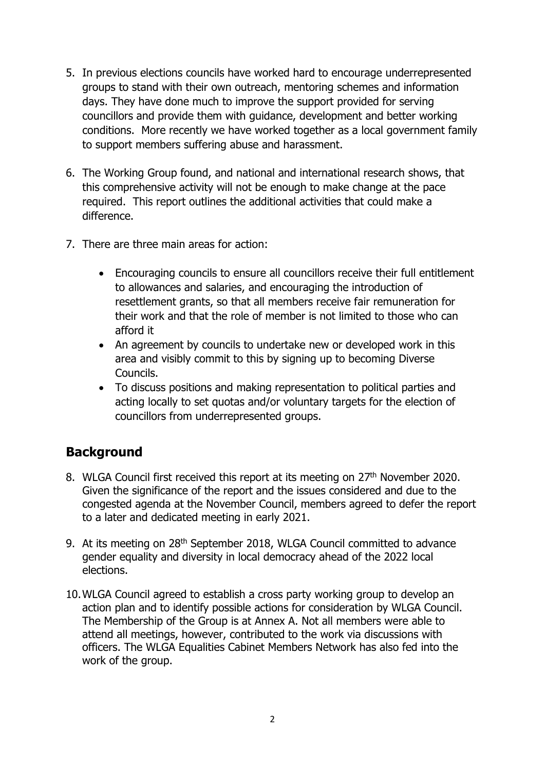- 5. In previous elections councils have worked hard to encourage underrepresented groups to stand with their own outreach, mentoring schemes and information days. They have done much to improve the support provided for serving councillors and provide them with guidance, development and better working conditions. More recently we have worked together as a local government family to support members suffering abuse and harassment.
- 6. The Working Group found, and national and international research shows, that this comprehensive activity will not be enough to make change at the pace required. This report outlines the additional activities that could make a difference.
- 7. There are three main areas for action:
	- Encouraging councils to ensure all councillors receive their full entitlement to allowances and salaries, and encouraging the introduction of resettlement grants, so that all members receive fair remuneration for their work and that the role of member is not limited to those who can afford it
	- An agreement by councils to undertake new or developed work in this area and visibly commit to this by signing up to becoming Diverse Councils.
	- To discuss positions and making representation to political parties and acting locally to set quotas and/or voluntary targets for the election of councillors from underrepresented groups.

# **Background**

- 8. WLGA Council first received this report at its meeting on 27<sup>th</sup> November 2020. Given the significance of the report and the issues considered and due to the congested agenda at the November Council, members agreed to defer the report to a later and dedicated meeting in early 2021.
- 9. At its meeting on 28<sup>th</sup> September 2018, WLGA Council committed to advance gender equality and diversity in local democracy ahead of the 2022 local elections.
- 10.WLGA Council agreed to establish a cross party working group to develop an action plan and to identify possible actions for consideration by WLGA Council. The Membership of the Group is at Annex A. Not all members were able to attend all meetings, however, contributed to the work via discussions with officers. The WLGA Equalities Cabinet Members Network has also fed into the work of the group.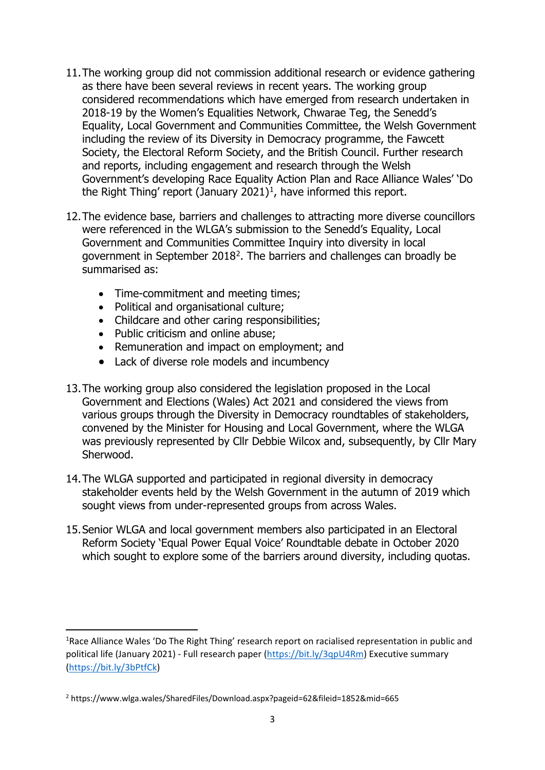- 11.The working group did not commission additional research or evidence gathering as there have been several reviews in recent years. The working group considered recommendations which have emerged from research undertaken in 2018-19 by the Women's Equalities Network, Chwarae Teg, the Senedd's Equality, Local Government and Communities Committee, the Welsh Government including the review of its Diversity in Democracy programme, the Fawcett Society, the Electoral Reform Society, and the British Council. Further research and reports, including engagement and research through the Welsh Government's developing Race Equality Action Plan and Race Alliance Wales' 'Do the Right Thing' report (January 202[1](#page-2-0))<sup>1</sup>, have informed this report.
- 12.The evidence base, barriers and challenges to attracting more diverse councillors were referenced in the WLGA's submission to the Senedd's Equality, Local Government and Communities Committee Inquiry into diversity in local government in September 2018[2](#page-2-1). The barriers and challenges can broadly be summarised as:
	- Time-commitment and meeting times;
	- Political and organisational culture;
	- Childcare and other caring responsibilities;
	- Public criticism and online abuse;
	- Remuneration and impact on employment; and
	- Lack of diverse role models and incumbency
- 13.The working group also considered the legislation proposed in the Local Government and Elections (Wales) Act 2021 and considered the views from various groups through the Diversity in Democracy roundtables of stakeholders, convened by the Minister for Housing and Local Government, where the WLGA was previously represented by Cllr Debbie Wilcox and, subsequently, by Cllr Mary Sherwood.
- 14.The WLGA supported and participated in regional diversity in democracy stakeholder events held by the Welsh Government in the autumn of 2019 which sought views from under-represented groups from across Wales.
- 15.Senior WLGA and local government members also participated in an Electoral Reform Society 'Equal Power Equal Voice' Roundtable debate in October 2020 which sought to explore some of the barriers around diversity, including quotas.

<span id="page-2-0"></span><sup>&</sup>lt;sup>1</sup>Race Alliance Wales 'Do The Right Thing' research report on racialised representation in public and political life (January 2021) - Full research paper [\(https://bit.ly/3qpU4Rm\)](https://bit.ly/3qpU4Rm) Executive summary [\(https://bit.ly/3bPtfCk\)](https://bit.ly/3bPtfCk)

<span id="page-2-1"></span><sup>2</sup> https://www.wlga.wales/SharedFiles/Download.aspx?pageid=62&fileid=1852&mid=665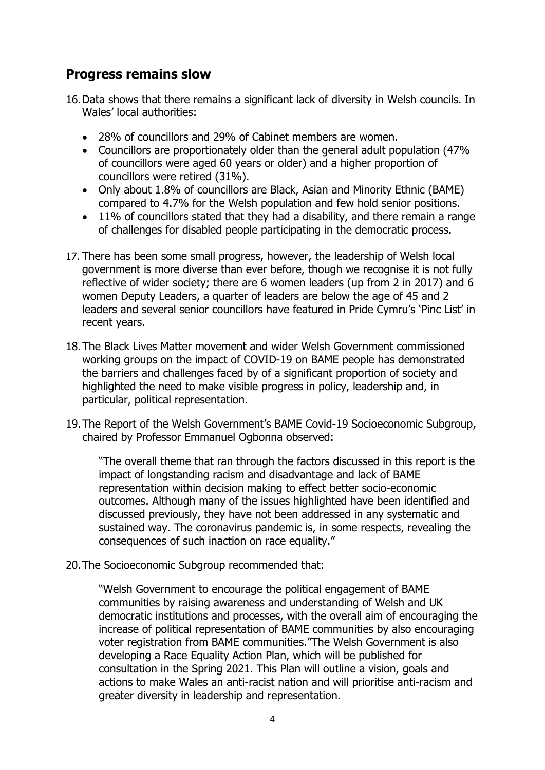## **Progress remains slow**

- 16.Data shows that there remains a significant lack of diversity in Welsh councils. In Wales' local authorities:
	- 28% of councillors and 29% of Cabinet members are women.
	- Councillors are proportionately older than the general adult population (47% of councillors were aged 60 years or older) and a higher proportion of councillors were retired (31%).
	- Only about 1.8% of councillors are Black, Asian and Minority Ethnic (BAME) compared to 4.7% for the Welsh population and few hold senior positions.
	- 11% of councillors stated that they had a disability, and there remain a range of challenges for disabled people participating in the democratic process.
- 17. There has been some small progress, however, the leadership of Welsh local government is more diverse than ever before, though we recognise it is not fully reflective of wider society; there are 6 women leaders (up from 2 in 2017) and 6 women Deputy Leaders, a quarter of leaders are below the age of 45 and 2 leaders and several senior councillors have featured in Pride Cymru's 'Pinc List' in recent years.
- 18.The Black Lives Matter movement and wider Welsh Government commissioned working groups on the impact of COVID-19 on BAME people has demonstrated the barriers and challenges faced by of a significant proportion of society and highlighted the need to make visible progress in policy, leadership and, in particular, political representation.
- 19.The Report of the Welsh Government's BAME Covid-19 Socioeconomic Subgroup, chaired by Professor Emmanuel Ogbonna observed:

"The overall theme that ran through the factors discussed in this report is the impact of longstanding racism and disadvantage and lack of BAME representation within decision making to effect better socio-economic outcomes. Although many of the issues highlighted have been identified and discussed previously, they have not been addressed in any systematic and sustained way. The coronavirus pandemic is, in some respects, revealing the consequences of such inaction on race equality."

20.The Socioeconomic Subgroup recommended that:

"Welsh Government to encourage the political engagement of BAME communities by raising awareness and understanding of Welsh and UK democratic institutions and processes, with the overall aim of encouraging the increase of political representation of BAME communities by also encouraging voter registration from BAME communities."The Welsh Government is also developing a Race Equality Action Plan, which will be published for consultation in the Spring 2021. This Plan will outline a vision, goals and actions to make Wales an anti-racist nation and will prioritise anti-racism and greater diversity in leadership and representation.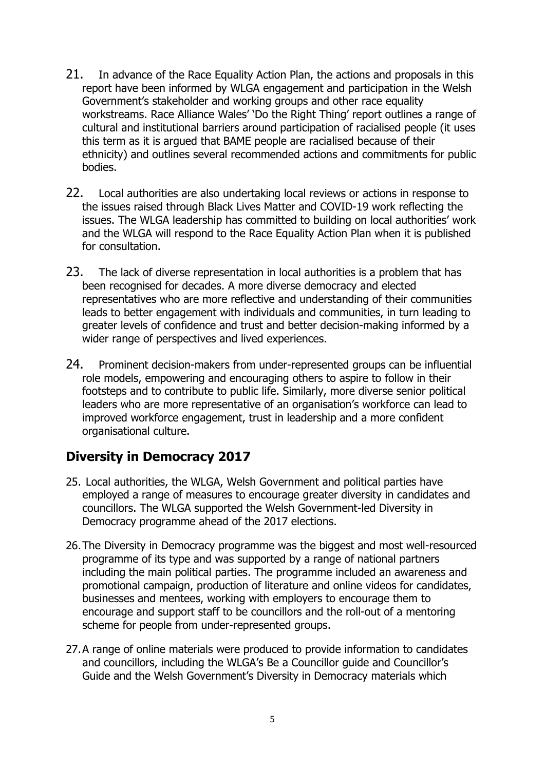- 21. In advance of the Race Equality Action Plan, the actions and proposals in this report have been informed by WLGA engagement and participation in the Welsh Government's stakeholder and working groups and other race equality workstreams. Race Alliance Wales' 'Do the Right Thing' report outlines a range of cultural and institutional barriers around participation of racialised people (it uses this term as it is argued that BAME people are racialised because of their ethnicity) and outlines several recommended actions and commitments for public bodies.
- 22. Local authorities are also undertaking local reviews or actions in response to the issues raised through Black Lives Matter and COVID-19 work reflecting the issues. The WLGA leadership has committed to building on local authorities' work and the WLGA will respond to the Race Equality Action Plan when it is published for consultation.
- 23. The lack of diverse representation in local authorities is a problem that has been recognised for decades. A more diverse democracy and elected representatives who are more reflective and understanding of their communities leads to better engagement with individuals and communities, in turn leading to greater levels of confidence and trust and better decision-making informed by a wider range of perspectives and lived experiences.
- 24. Prominent decision-makers from under-represented groups can be influential role models, empowering and encouraging others to aspire to follow in their footsteps and to contribute to public life. Similarly, more diverse senior political leaders who are more representative of an organisation's workforce can lead to improved workforce engagement, trust in leadership and a more confident organisational culture.

### **Diversity in Democracy 2017**

- 25. Local authorities, the WLGA, Welsh Government and political parties have employed a range of measures to encourage greater diversity in candidates and councillors. The WLGA supported the Welsh Government-led Diversity in Democracy programme ahead of the 2017 elections.
- 26.The Diversity in Democracy programme was the biggest and most well-resourced programme of its type and was supported by a range of national partners including the main political parties. The programme included an awareness and promotional campaign, production of literature and online videos for candidates, businesses and mentees, working with employers to encourage them to encourage and support staff to be councillors and the roll-out of a mentoring scheme for people from under-represented groups.
- 27.A range of online materials were produced to provide information to candidates and councillors, including the WLGA's Be a Councillor guide and Councillor's Guide and the Welsh Government's Diversity in Democracy materials which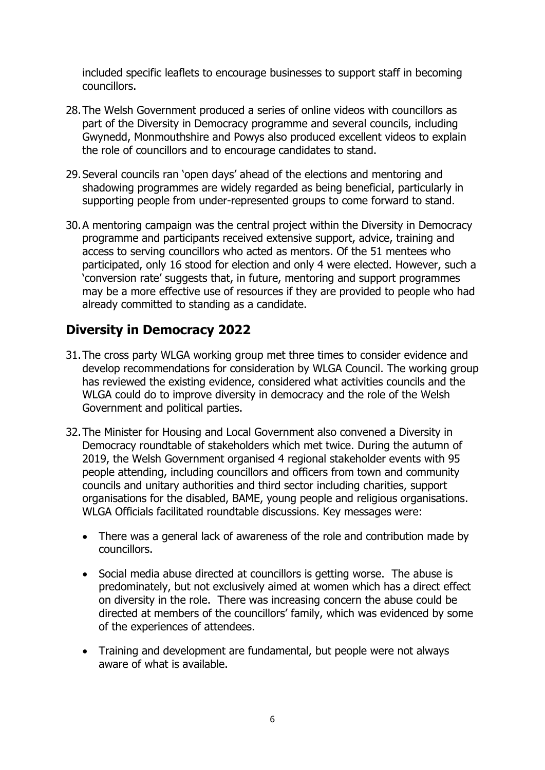included specific leaflets to encourage businesses to support staff in becoming councillors.

- 28.The Welsh Government produced a series of online videos with councillors as part of the Diversity in Democracy programme and several councils, including Gwynedd, Monmouthshire and Powys also produced excellent videos to explain the role of councillors and to encourage candidates to stand.
- 29.Several councils ran 'open days' ahead of the elections and mentoring and shadowing programmes are widely regarded as being beneficial, particularly in supporting people from under-represented groups to come forward to stand.
- 30.A mentoring campaign was the central project within the Diversity in Democracy programme and participants received extensive support, advice, training and access to serving councillors who acted as mentors. Of the 51 mentees who participated, only 16 stood for election and only 4 were elected. However, such a 'conversion rate' suggests that, in future, mentoring and support programmes may be a more effective use of resources if they are provided to people who had already committed to standing as a candidate.

# **Diversity in Democracy 2022**

- 31.The cross party WLGA working group met three times to consider evidence and develop recommendations for consideration by WLGA Council. The working group has reviewed the existing evidence, considered what activities councils and the WLGA could do to improve diversity in democracy and the role of the Welsh Government and political parties.
- 32.The Minister for Housing and Local Government also convened a Diversity in Democracy roundtable of stakeholders which met twice. During the autumn of 2019, the Welsh Government organised 4 regional stakeholder events with 95 people attending, including councillors and officers from town and community councils and unitary authorities and third sector including charities, support organisations for the disabled, BAME, young people and religious organisations. WLGA Officials facilitated roundtable discussions. Key messages were:
	- There was a general lack of awareness of the role and contribution made by councillors.
	- Social media abuse directed at councillors is getting worse. The abuse is predominately, but not exclusively aimed at women which has a direct effect on diversity in the role. There was increasing concern the abuse could be directed at members of the councillors' family, which was evidenced by some of the experiences of attendees.
	- Training and development are fundamental, but people were not always aware of what is available.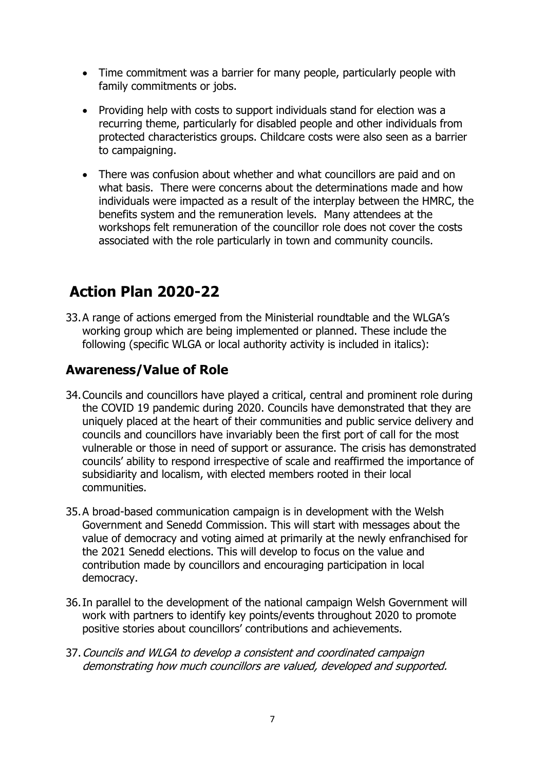- Time commitment was a barrier for many people, particularly people with family commitments or jobs.
- Providing help with costs to support individuals stand for election was a recurring theme, particularly for disabled people and other individuals from protected characteristics groups. Childcare costs were also seen as a barrier to campaigning.
- There was confusion about whether and what councillors are paid and on what basis. There were concerns about the determinations made and how individuals were impacted as a result of the interplay between the HMRC, the benefits system and the remuneration levels. Many attendees at the workshops felt remuneration of the councillor role does not cover the costs associated with the role particularly in town and community councils.

# **Action Plan 2020-22**

33.A range of actions emerged from the Ministerial roundtable and the WLGA's working group which are being implemented or planned. These include the following (specific WLGA or local authority activity is included in italics):

# **Awareness/Value of Role**

- 34.Councils and councillors have played a critical, central and prominent role during the COVID 19 pandemic during 2020. Councils have demonstrated that they are uniquely placed at the heart of their communities and public service delivery and councils and councillors have invariably been the first port of call for the most vulnerable or those in need of support or assurance. The crisis has demonstrated councils' ability to respond irrespective of scale and reaffirmed the importance of subsidiarity and localism, with elected members rooted in their local communities.
- 35.A broad-based communication campaign is in development with the Welsh Government and Senedd Commission. This will start with messages about the value of democracy and voting aimed at primarily at the newly enfranchised for the 2021 Senedd elections. This will develop to focus on the value and contribution made by councillors and encouraging participation in local democracy.
- 36.In parallel to the development of the national campaign Welsh Government will work with partners to identify key points/events throughout 2020 to promote positive stories about councillors' contributions and achievements.
- 37.Councils and WLGA to develop a consistent and coordinated campaign demonstrating how much councillors are valued, developed and supported.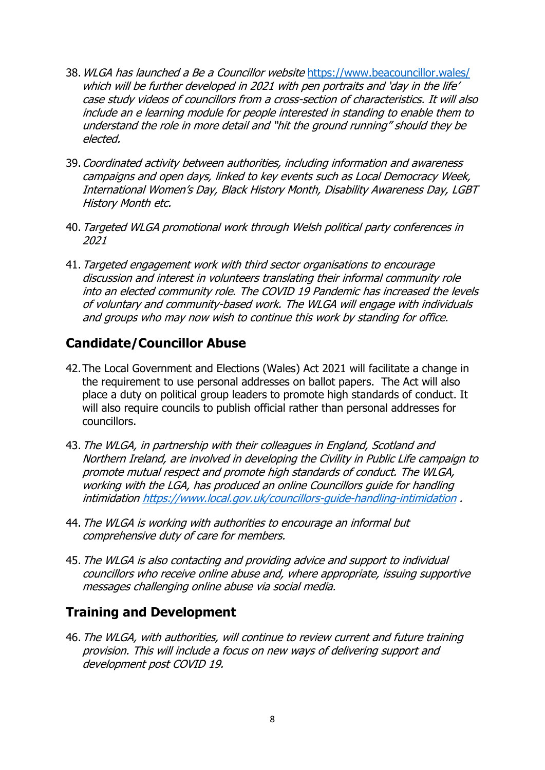- 38.WLGA has launched a Be a Councillor website <https://www.beacouncillor.wales/> which will be further developed in 2021 with pen portraits and 'day in the life' case study videos of councillors from a cross-section of characteristics. It will also include an e learning module for people interested in standing to enable them to understand the role in more detail and "hit the ground running" should they be elected.
- 39.Coordinated activity between authorities, including information and awareness campaigns and open days, linked to key events such as Local Democracy Week, International Women's Day, Black History Month, Disability Awareness Day, LGBT History Month etc.
- 40.Targeted WLGA promotional work through Welsh political party conferences in 2021
- 41.Targeted engagement work with third sector organisations to encourage discussion and interest in volunteers translating their informal community role into an elected community role. The COVID 19 Pandemic has increased the levels of voluntary and community-based work. The WLGA will engage with individuals and groups who may now wish to continue this work by standing for office.

# **Candidate/Councillor Abuse**

- 42.The Local Government and Elections (Wales) Act 2021 will facilitate a change in the requirement to use personal addresses on ballot papers. The Act will also place a duty on political group leaders to promote high standards of conduct. It will also require councils to publish official rather than personal addresses for councillors.
- 43.The WLGA, in partnership with their colleagues in England, Scotland and Northern Ireland, are involved in developing the Civility in Public Life campaign to promote mutual respect and promote high standards of conduct. The WLGA, working with the LGA, has produced an online Councillors guide for handling intimidatio[n https://www.local.gov.uk/councillors-guide-handling-intimidation](https://www.local.gov.uk/councillors-guide-handling-intimidation) .
- 44.The WLGA is working with authorities to encourage an informal but comprehensive duty of care for members.
- 45.The WLGA is also contacting and providing advice and support to individual councillors who receive online abuse and, where appropriate, issuing supportive messages challenging online abuse via social media.

### **Training and Development**

46.The WLGA, with authorities, will continue to review current and future training provision. This will include a focus on new ways of delivering support and development post COVID 19.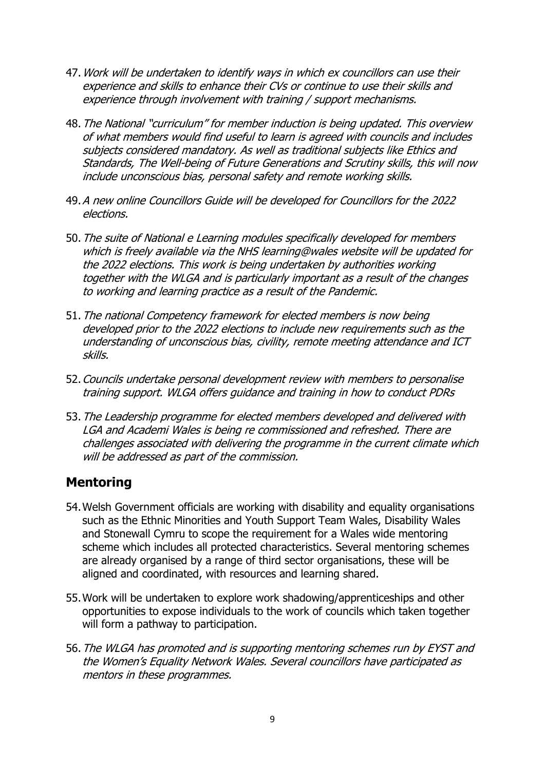- 47.Work will be undertaken to identify ways in which ex councillors can use their experience and skills to enhance their CVs or continue to use their skills and experience through involvement with training / support mechanisms.
- 48.The National "curriculum" for member induction is being updated. This overview of what members would find useful to learn is agreed with councils and includes subjects considered mandatory. As well as traditional subjects like Ethics and Standards, The Well-being of Future Generations and Scrutiny skills, this will now include unconscious bias, personal safety and remote working skills.
- 49.A new online Councillors Guide will be developed for Councillors for the 2022 elections.
- 50.The suite of National e Learning modules specifically developed for members which is freely available via the NHS learning@wales website will be updated for the 2022 elections. This work is being undertaken by authorities working together with the WLGA and is particularly important as a result of the changes to working and learning practice as a result of the Pandemic.
- 51. The national Competency framework for elected members is now being developed prior to the 2022 elections to include new requirements such as the understanding of unconscious bias, civility, remote meeting attendance and ICT skills.
- 52.Councils undertake personal development review with members to personalise training support. WLGA offers guidance and training in how to conduct PDRs
- 53. The Leadership programme for elected members developed and delivered with LGA and Academi Wales is being re commissioned and refreshed. There are challenges associated with delivering the programme in the current climate which will be addressed as part of the commission.

### **Mentoring**

- 54.Welsh Government officials are working with disability and equality organisations such as the Ethnic Minorities and Youth Support Team Wales, Disability Wales and Stonewall Cymru to scope the requirement for a Wales wide mentoring scheme which includes all protected characteristics. Several mentoring schemes are already organised by a range of third sector organisations, these will be aligned and coordinated, with resources and learning shared.
- 55.Work will be undertaken to explore work shadowing/apprenticeships and other opportunities to expose individuals to the work of councils which taken together will form a pathway to participation.
- 56.The WLGA has promoted and is supporting mentoring schemes run by EYST and the Women's Equality Network Wales. Several councillors have participated as mentors in these programmes.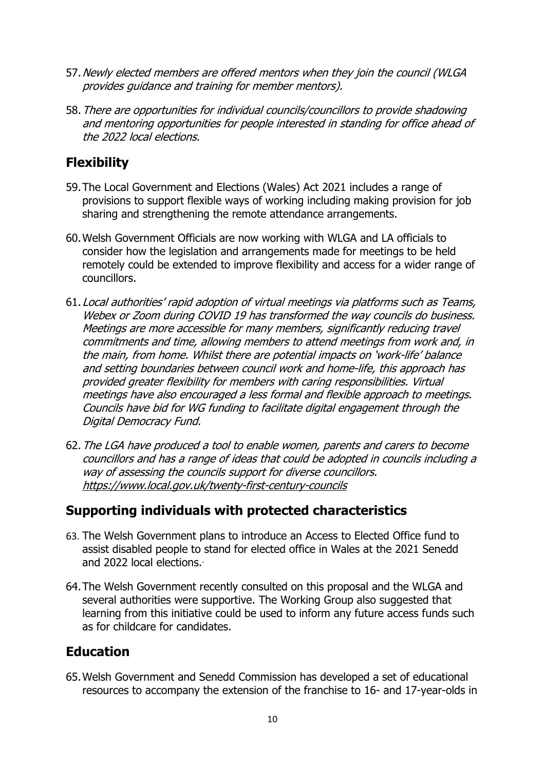- 57. Newly elected members are offered mentors when they join the council (WLGA provides guidance and training for member mentors).
- 58.There are opportunities for individual councils/councillors to provide shadowing and mentoring opportunities for people interested in standing for office ahead of the 2022 local elections.

# **Flexibility**

- 59.The Local Government and Elections (Wales) Act 2021 includes a range of provisions to support flexible ways of working including making provision for job sharing and strengthening the remote attendance arrangements.
- 60.Welsh Government Officials are now working with WLGA and LA officials to consider how the legislation and arrangements made for meetings to be held remotely could be extended to improve flexibility and access for a wider range of councillors.
- 61.Local authorities' rapid adoption of virtual meetings via platforms such as Teams, Webex or Zoom during COVID 19 has transformed the way councils do business. Meetings are more accessible for many members, significantly reducing travel commitments and time, allowing members to attend meetings from work and, in the main, from home. Whilst there are potential impacts on 'work-life' balance and setting boundaries between council work and home-life, this approach has provided greater flexibility for members with caring responsibilities. Virtual meetings have also encouraged a less formal and flexible approach to meetings. Councils have bid for WG funding to facilitate digital engagement through the Digital Democracy Fund.
- 62.The LGA have produced a tool to enable women, parents and carers to become councillors and has a range of ideas that could be adopted in councils including a way of assessing the councils support for diverse councillors. <https://www.local.gov.uk/twenty-first-century-councils>

# **Supporting individuals with protected characteristics**

- 63. The Welsh Government plans to introduce an Access to Elected Office fund to assist disabled people to stand for elected office in Wales at the 2021 Senedd and 2022 local elections..
- 64.The Welsh Government recently consulted on this proposal and the WLGA and several authorities were supportive. The Working Group also suggested that learning from this initiative could be used to inform any future access funds such as for childcare for candidates.

# **Education**

65.Welsh Government and Senedd Commission has developed a set of educational resources to accompany the extension of the franchise to 16- and 17-year-olds in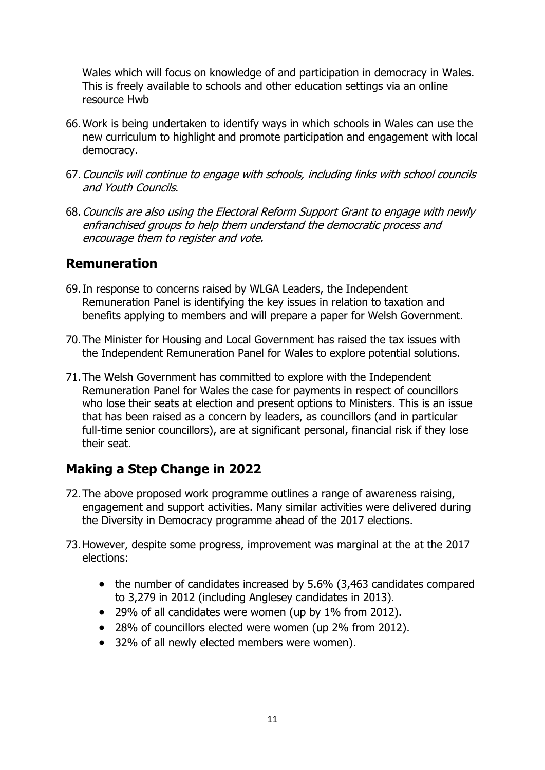Wales which will focus on knowledge of and participation in democracy in Wales. This is freely available to schools and other education settings via an online resource Hwb

- 66.Work is being undertaken to identify ways in which schools in Wales can use the new curriculum to highlight and promote participation and engagement with local democracy.
- 67.Councils will continue to engage with schools, including links with school councils and Youth Councils.
- 68.Councils are also using the Electoral Reform Support Grant to engage with newly enfranchised groups to help them understand the democratic process and encourage them to register and vote.

### **Remuneration**

- 69.In response to concerns raised by WLGA Leaders, the Independent Remuneration Panel is identifying the key issues in relation to taxation and benefits applying to members and will prepare a paper for Welsh Government.
- 70.The Minister for Housing and Local Government has raised the tax issues with the Independent Remuneration Panel for Wales to explore potential solutions.
- 71.The Welsh Government has committed to explore with the Independent Remuneration Panel for Wales the case for payments in respect of councillors who lose their seats at election and present options to Ministers. This is an issue that has been raised as a concern by leaders, as councillors (and in particular full-time senior councillors), are at significant personal, financial risk if they lose their seat.

# **Making a Step Change in 2022**

- 72.The above proposed work programme outlines a range of awareness raising, engagement and support activities. Many similar activities were delivered during the Diversity in Democracy programme ahead of the 2017 elections.
- 73.However, despite some progress, improvement was marginal at the at the 2017 elections:
	- the number of candidates increased by 5.6% (3,463 candidates compared to 3,279 in 2012 (including Anglesey candidates in 2013).
	- 29% of all candidates were women (up by 1% from 2012).
	- 28% of councillors elected were women (up 2% from 2012).
	- 32% of all newly elected members were women).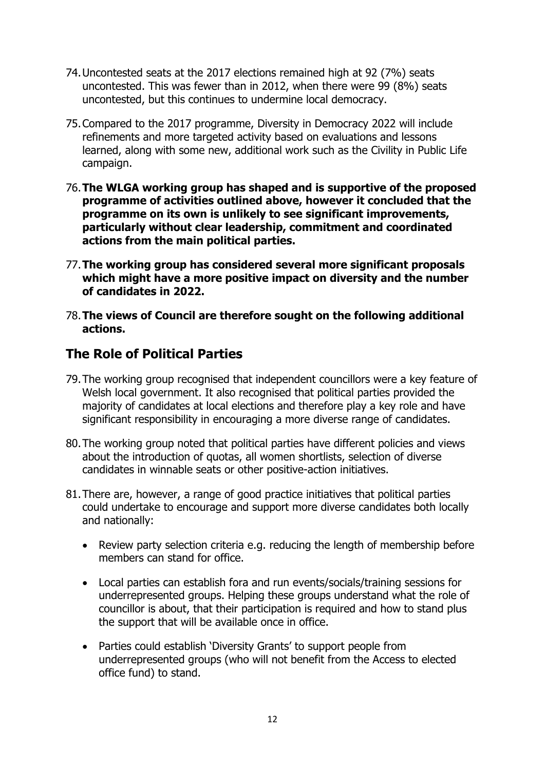- 74.Uncontested seats at the 2017 elections remained high at 92 (7%) seats uncontested. This was fewer than in 2012, when there were 99 (8%) seats uncontested, but this continues to undermine local democracy.
- 75.Compared to the 2017 programme, Diversity in Democracy 2022 will include refinements and more targeted activity based on evaluations and lessons learned, along with some new, additional work such as the Civility in Public Life campaign.
- 76.**The WLGA working group has shaped and is supportive of the proposed programme of activities outlined above, however it concluded that the programme on its own is unlikely to see significant improvements, particularly without clear leadership, commitment and coordinated actions from the main political parties.**
- 77.**The working group has considered several more significant proposals which might have a more positive impact on diversity and the number of candidates in 2022.**
- 78.**The views of Council are therefore sought on the following additional actions.**

### **The Role of Political Parties**

- 79.The working group recognised that independent councillors were a key feature of Welsh local government. It also recognised that political parties provided the majority of candidates at local elections and therefore play a key role and have significant responsibility in encouraging a more diverse range of candidates.
- 80.The working group noted that political parties have different policies and views about the introduction of quotas, all women shortlists, selection of diverse candidates in winnable seats or other positive-action initiatives.
- 81.There are, however, a range of good practice initiatives that political parties could undertake to encourage and support more diverse candidates both locally and nationally:
	- Review party selection criteria e.g. reducing the length of membership before members can stand for office.
	- Local parties can establish fora and run events/socials/training sessions for underrepresented groups. Helping these groups understand what the role of councillor is about, that their participation is required and how to stand plus the support that will be available once in office.
	- Parties could establish 'Diversity Grants' to support people from underrepresented groups (who will not benefit from the Access to elected office fund) to stand.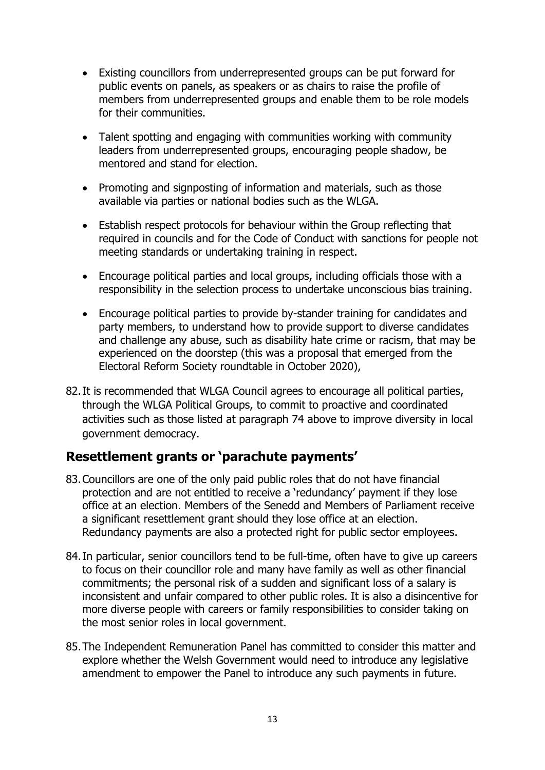- Existing councillors from underrepresented groups can be put forward for public events on panels, as speakers or as chairs to raise the profile of members from underrepresented groups and enable them to be role models for their communities.
- Talent spotting and engaging with communities working with community leaders from underrepresented groups, encouraging people shadow, be mentored and stand for election.
- Promoting and signposting of information and materials, such as those available via parties or national bodies such as the WLGA.
- Establish respect protocols for behaviour within the Group reflecting that required in councils and for the Code of Conduct with sanctions for people not meeting standards or undertaking training in respect.
- Encourage political parties and local groups, including officials those with a responsibility in the selection process to undertake unconscious bias training.
- Encourage political parties to provide by-stander training for candidates and party members, to understand how to provide support to diverse candidates and challenge any abuse, such as disability hate crime or racism, that may be experienced on the doorstep (this was a proposal that emerged from the Electoral Reform Society roundtable in October 2020),
- 82.It is recommended that WLGA Council agrees to encourage all political parties, through the WLGA Political Groups, to commit to proactive and coordinated activities such as those listed at paragraph 74 above to improve diversity in local government democracy.

### **Resettlement grants or 'parachute payments'**

- 83.Councillors are one of the only paid public roles that do not have financial protection and are not entitled to receive a 'redundancy' payment if they lose office at an election. Members of the Senedd and Members of Parliament receive a significant resettlement grant should they lose office at an election. Redundancy payments are also a protected right for public sector employees.
- 84. In particular, senior councillors tend to be full-time, often have to give up careers to focus on their councillor role and many have family as well as other financial commitments; the personal risk of a sudden and significant loss of a salary is inconsistent and unfair compared to other public roles. It is also a disincentive for more diverse people with careers or family responsibilities to consider taking on the most senior roles in local government.
- 85.The Independent Remuneration Panel has committed to consider this matter and explore whether the Welsh Government would need to introduce any legislative amendment to empower the Panel to introduce any such payments in future.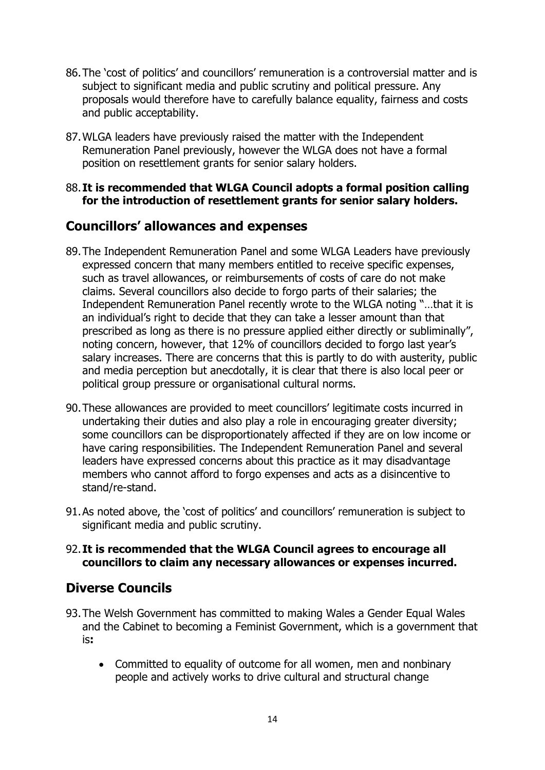- 86.The 'cost of politics' and councillors' remuneration is a controversial matter and is subject to significant media and public scrutiny and political pressure. Any proposals would therefore have to carefully balance equality, fairness and costs and public acceptability.
- 87.WLGA leaders have previously raised the matter with the Independent Remuneration Panel previously, however the WLGA does not have a formal position on resettlement grants for senior salary holders.

#### 88.**It is recommended that WLGA Council adopts a formal position calling for the introduction of resettlement grants for senior salary holders.**

## **Councillors' allowances and expenses**

- 89.The Independent Remuneration Panel and some WLGA Leaders have previously expressed concern that many members entitled to receive specific expenses, such as travel allowances, or reimbursements of costs of care do not make claims. Several councillors also decide to forgo parts of their salaries; the Independent Remuneration Panel recently wrote to the WLGA noting "…that it is an individual's right to decide that they can take a lesser amount than that prescribed as long as there is no pressure applied either directly or subliminally", noting concern, however, that 12% of councillors decided to forgo last year's salary increases. There are concerns that this is partly to do with austerity, public and media perception but anecdotally, it is clear that there is also local peer or political group pressure or organisational cultural norms.
- 90.These allowances are provided to meet councillors' legitimate costs incurred in undertaking their duties and also play a role in encouraging greater diversity; some councillors can be disproportionately affected if they are on low income or have caring responsibilities. The Independent Remuneration Panel and several leaders have expressed concerns about this practice as it may disadvantage members who cannot afford to forgo expenses and acts as a disincentive to stand/re-stand.
- 91.As noted above, the 'cost of politics' and councillors' remuneration is subject to significant media and public scrutiny.

#### 92.**It is recommended that the WLGA Council agrees to encourage all councillors to claim any necessary allowances or expenses incurred.**

# **Diverse Councils**

- 93.The Welsh Government has committed to making Wales a Gender Equal Wales and the Cabinet to becoming a Feminist Government, which is a government that is**:**
	- Committed to equality of outcome for all women, men and nonbinary people and actively works to drive cultural and structural change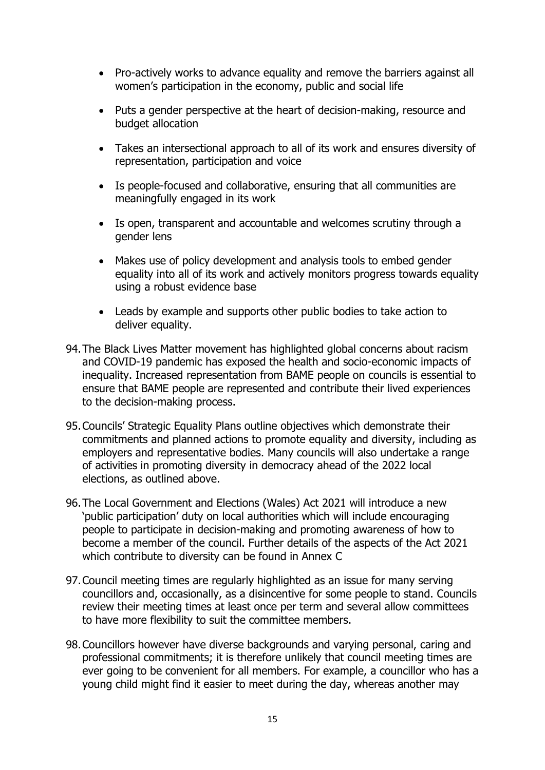- Pro-actively works to advance equality and remove the barriers against all women's participation in the economy, public and social life
- Puts a gender perspective at the heart of decision-making, resource and budget allocation
- Takes an intersectional approach to all of its work and ensures diversity of representation, participation and voice
- Is people-focused and collaborative, ensuring that all communities are meaningfully engaged in its work
- Is open, transparent and accountable and welcomes scrutiny through a gender lens
- Makes use of policy development and analysis tools to embed gender equality into all of its work and actively monitors progress towards equality using a robust evidence base
- Leads by example and supports other public bodies to take action to deliver equality.
- 94.The Black Lives Matter movement has highlighted global concerns about racism and COVID-19 pandemic has exposed the health and socio-economic impacts of inequality. Increased representation from BAME people on councils is essential to ensure that BAME people are represented and contribute their lived experiences to the decision-making process.
- 95.Councils' Strategic Equality Plans outline objectives which demonstrate their commitments and planned actions to promote equality and diversity, including as employers and representative bodies. Many councils will also undertake a range of activities in promoting diversity in democracy ahead of the 2022 local elections, as outlined above.
- 96.The Local Government and Elections (Wales) Act 2021 will introduce a new 'public participation' duty on local authorities which will include encouraging people to participate in decision-making and promoting awareness of how to become a member of the council. Further details of the aspects of the Act 2021 which contribute to diversity can be found in Annex C
- 97.Council meeting times are regularly highlighted as an issue for many serving councillors and, occasionally, as a disincentive for some people to stand. Councils review their meeting times at least once per term and several allow committees to have more flexibility to suit the committee members.
- 98.Councillors however have diverse backgrounds and varying personal, caring and professional commitments; it is therefore unlikely that council meeting times are ever going to be convenient for all members. For example, a councillor who has a young child might find it easier to meet during the day, whereas another may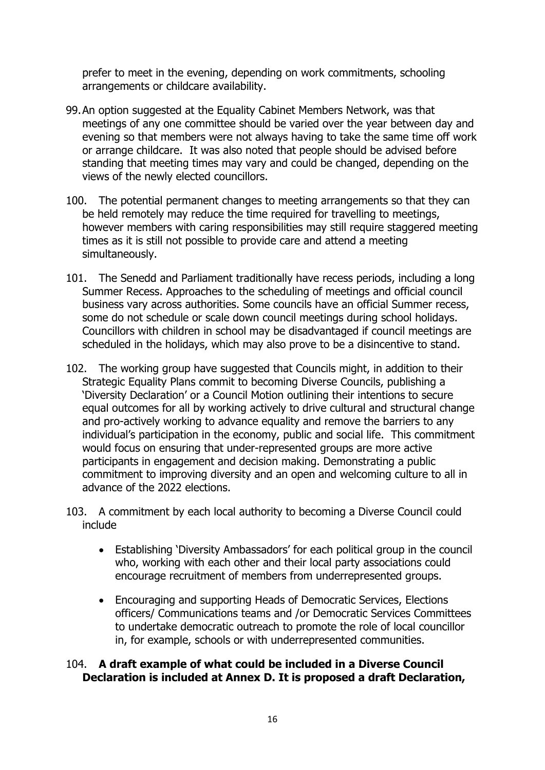prefer to meet in the evening, depending on work commitments, schooling arrangements or childcare availability.

- 99.An option suggested at the Equality Cabinet Members Network, was that meetings of any one committee should be varied over the year between day and evening so that members were not always having to take the same time off work or arrange childcare. It was also noted that people should be advised before standing that meeting times may vary and could be changed, depending on the views of the newly elected councillors.
- 100. The potential permanent changes to meeting arrangements so that they can be held remotely may reduce the time required for travelling to meetings, however members with caring responsibilities may still require staggered meeting times as it is still not possible to provide care and attend a meeting simultaneously.
- 101. The Senedd and Parliament traditionally have recess periods, including a long Summer Recess. Approaches to the scheduling of meetings and official council business vary across authorities. Some councils have an official Summer recess, some do not schedule or scale down council meetings during school holidays. Councillors with children in school may be disadvantaged if council meetings are scheduled in the holidays, which may also prove to be a disincentive to stand.
- 102. The working group have suggested that Councils might, in addition to their Strategic Equality Plans commit to becoming Diverse Councils, publishing a 'Diversity Declaration' or a Council Motion outlining their intentions to secure equal outcomes for all by working actively to drive cultural and structural change and pro-actively working to advance equality and remove the barriers to any individual's participation in the economy, public and social life. This commitment would focus on ensuring that under-represented groups are more active participants in engagement and decision making. Demonstrating a public commitment to improving diversity and an open and welcoming culture to all in advance of the 2022 elections.
- 103. A commitment by each local authority to becoming a Diverse Council could include
	- Establishing 'Diversity Ambassadors' for each political group in the council who, working with each other and their local party associations could encourage recruitment of members from underrepresented groups.
	- Encouraging and supporting Heads of Democratic Services, Elections officers/ Communications teams and /or Democratic Services Committees to undertake democratic outreach to promote the role of local councillor in, for example, schools or with underrepresented communities.

#### 104. **A draft example of what could be included in a Diverse Council Declaration is included at Annex D. It is proposed a draft Declaration,**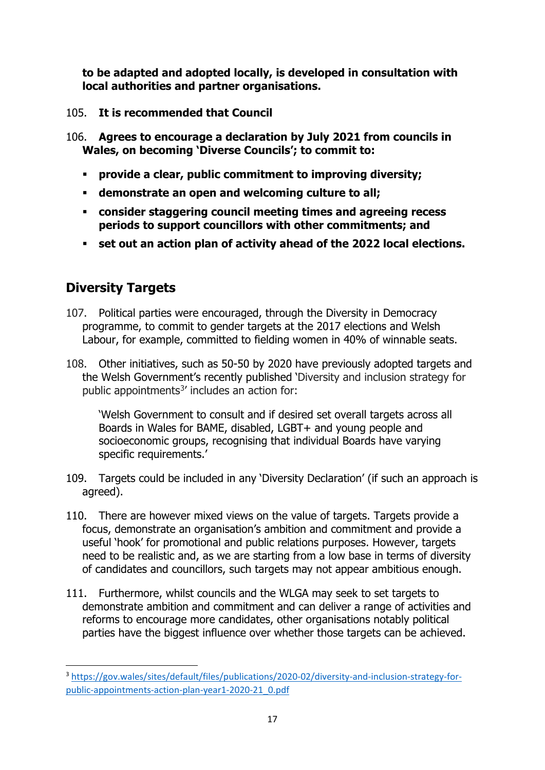**to be adapted and adopted locally, is developed in consultation with local authorities and partner organisations.** 

- 105. **It is recommended that Council**
- 106. **Agrees to encourage a declaration by July 2021 from councils in Wales, on becoming 'Diverse Councils'; to commit to:**
	- **provide a clear, public commitment to improving diversity;**
	- **demonstrate an open and welcoming culture to all;**
	- **consider staggering council meeting times and agreeing recess periods to support councillors with other commitments; and**
	- **set out an action plan of activity ahead of the 2022 local elections.**

# **Diversity Targets**

- 107. Political parties were encouraged, through the Diversity in Democracy programme, to commit to gender targets at the 2017 elections and Welsh Labour, for example, committed to fielding women in 40% of winnable seats.
- 108. Other initiatives, such as 50-50 by 2020 have previously adopted targets and the Welsh Government's recently published 'Diversity and inclusion strategy for public appointments $3'$  includes an action for:

'Welsh Government to consult and if desired set overall targets across all Boards in Wales for BAME, disabled, LGBT+ and young people and socioeconomic groups, recognising that individual Boards have varying specific requirements.'

- 109. Targets could be included in any 'Diversity Declaration' (if such an approach is agreed).
- 110. There are however mixed views on the value of targets. Targets provide a focus, demonstrate an organisation's ambition and commitment and provide a useful 'hook' for promotional and public relations purposes. However, targets need to be realistic and, as we are starting from a low base in terms of diversity of candidates and councillors, such targets may not appear ambitious enough.
- 111. Furthermore, whilst councils and the WLGA may seek to set targets to demonstrate ambition and commitment and can deliver a range of activities and reforms to encourage more candidates, other organisations notably political parties have the biggest influence over whether those targets can be achieved.

<span id="page-16-0"></span><sup>3</sup> [https://gov.wales/sites/default/files/publications/2020-02/diversity-and-inclusion-strategy-for](https://gov.wales/sites/default/files/publications/2020-02/diversity-and-inclusion-strategy-for-public-appointments-action-plan-year1-2020-21_0.pdf)[public-appointments-action-plan-year1-2020-21\\_0.pdf](https://gov.wales/sites/default/files/publications/2020-02/diversity-and-inclusion-strategy-for-public-appointments-action-plan-year1-2020-21_0.pdf)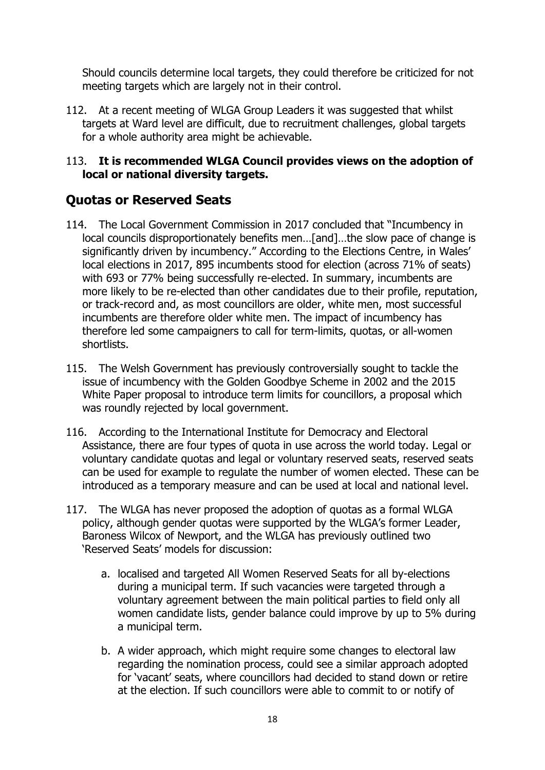Should councils determine local targets, they could therefore be criticized for not meeting targets which are largely not in their control.

112. At a recent meeting of WLGA Group Leaders it was suggested that whilst targets at Ward level are difficult, due to recruitment challenges, global targets for a whole authority area might be achievable.

#### 113. **It is recommended WLGA Council provides views on the adoption of local or national diversity targets.**

# **Quotas or Reserved Seats**

- 114. The Local Government Commission in 2017 concluded that "Incumbency in local councils disproportionately benefits men…[and]…the slow pace of change is significantly driven by incumbency." According to the Elections Centre, in Wales' local elections in 2017, 895 incumbents stood for election (across 71% of seats) with 693 or 77% being successfully re-elected. In summary, incumbents are more likely to be re-elected than other candidates due to their profile, reputation, or track‐record and, as most councillors are older, white men, most successful incumbents are therefore older white men. The impact of incumbency has therefore led some campaigners to call for term‐limits, quotas, or all‐women shortlists.
- 115. The Welsh Government has previously controversially sought to tackle the issue of incumbency with the Golden Goodbye Scheme in 2002 and the 2015 White Paper proposal to introduce term limits for councillors, a proposal which was roundly rejected by local government.
- 116. According to the International Institute for Democracy and Electoral Assistance, there are four types of quota in use across the world today. Legal or voluntary candidate quotas and legal or voluntary reserved seats, reserved seats can be used for example to regulate the number of women elected. These can be introduced as a temporary measure and can be used at local and national level.
- 117. The WLGA has never proposed the adoption of quotas as a formal WLGA policy, although gender quotas were supported by the WLGA's former Leader, Baroness Wilcox of Newport, and the WLGA has previously outlined two 'Reserved Seats' models for discussion:
	- a. localised and targeted All Women Reserved Seats for all by‐elections during a municipal term. If such vacancies were targeted through a voluntary agreement between the main political parties to field only all women candidate lists, gender balance could improve by up to 5% during a municipal term.
	- b. A wider approach, which might require some changes to electoral law regarding the nomination process, could see a similar approach adopted for 'vacant' seats, where councillors had decided to stand down or retire at the election. If such councillors were able to commit to or notify of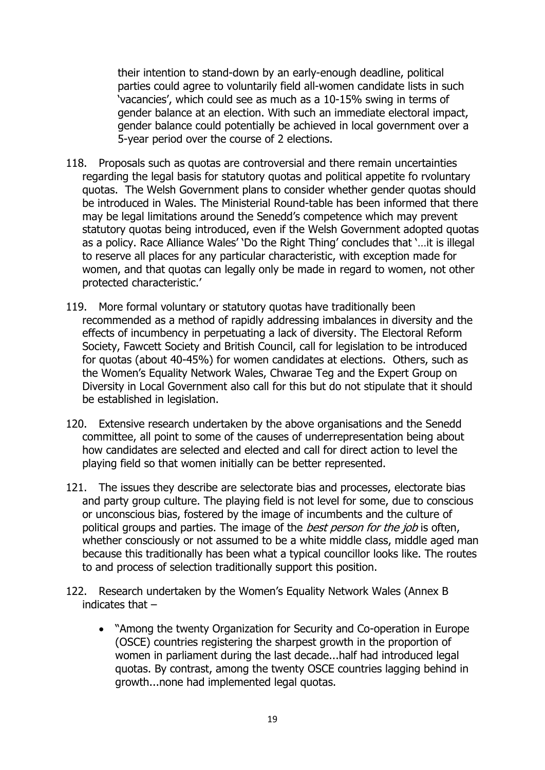their intention to stand‐down by an early‐enough deadline, political parties could agree to voluntarily field all-women candidate lists in such 'vacancies', which could see as much as a 10‐15% swing in terms of gender balance at an election. With such an immediate electoral impact, gender balance could potentially be achieved in local government over a 5‐year period over the course of 2 elections.

- 118. Proposals such as quotas are controversial and there remain uncertainties regarding the legal basis for statutory quotas and political appetite fo rvoluntary quotas. The Welsh Government plans to consider whether gender quotas should be introduced in Wales. The Ministerial Round-table has been informed that there may be legal limitations around the Senedd's competence which may prevent statutory quotas being introduced, even if the Welsh Government adopted quotas as a policy. Race Alliance Wales' 'Do the Right Thing' concludes that '…it is illegal to reserve all places for any particular characteristic, with exception made for women, and that quotas can legally only be made in regard to women, not other protected characteristic.'
- 119. More formal voluntary or statutory quotas have traditionally been recommended as a method of rapidly addressing imbalances in diversity and the effects of incumbency in perpetuating a lack of diversity. The Electoral Reform Society, Fawcett Society and British Council, call for legislation to be introduced for quotas (about 40-45%) for women candidates at elections. Others, such as the Women's Equality Network Wales, Chwarae Teg and the Expert Group on Diversity in Local Government also call for this but do not stipulate that it should be established in legislation.
- 120. Extensive research undertaken by the above organisations and the Senedd committee, all point to some of the causes of underrepresentation being about how candidates are selected and elected and call for direct action to level the playing field so that women initially can be better represented.
- 121. The issues they describe are selectorate bias and processes, electorate bias and party group culture. The playing field is not level for some, due to conscious or unconscious bias, fostered by the image of incumbents and the culture of political groups and parties. The image of the *best person for the job* is often, whether consciously or not assumed to be a white middle class, middle aged man because this traditionally has been what a typical councillor looks like. The routes to and process of selection traditionally support this position.
- 122. Research undertaken by the Women's Equality Network Wales (Annex B indicates that –
	- "Among the twenty Organization for Security and Co-operation in Europe (OSCE) countries registering the sharpest growth in the proportion of women in parliament during the last decade...half had introduced legal quotas. By contrast, among the twenty OSCE countries lagging behind in growth...none had implemented legal quotas.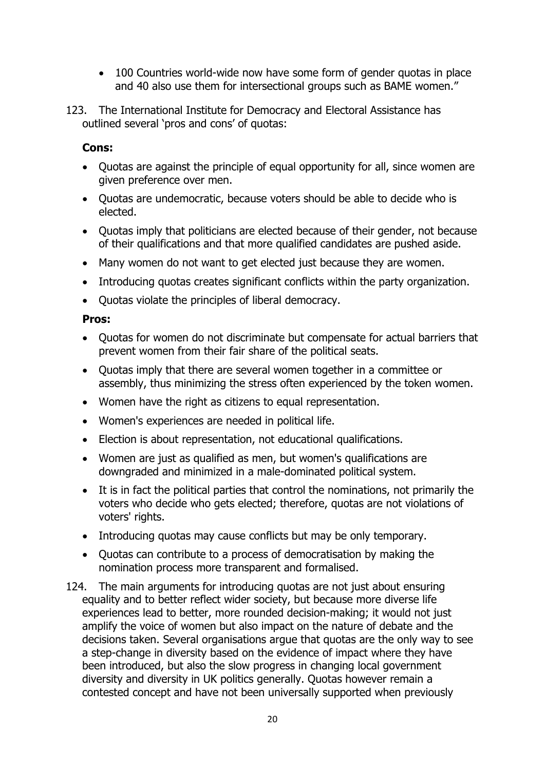- 100 Countries world-wide now have some form of gender quotas in place and 40 also use them for intersectional groups such as BAME women."
- 123. The International Institute for Democracy and Electoral Assistance has outlined several 'pros and cons' of quotas:

#### **Cons:**

- Quotas are against the principle of equal opportunity for all, since women are given preference over men.
- Quotas are undemocratic, because voters should be able to decide who is elected.
- Quotas imply that politicians are elected because of their gender, not because of their qualifications and that more qualified candidates are pushed aside.
- Many women do not want to get elected just because they are women.
- Introducing quotas creates significant conflicts within the party organization.
- Quotas violate the principles of liberal democracy.

#### **Pros:**

- Quotas for women do not discriminate but compensate for actual barriers that prevent women from their fair share of the political seats.
- Quotas imply that there are several women together in a committee or assembly, thus minimizing the stress often experienced by the token women.
- Women have the right as citizens to equal representation.
- Women's experiences are needed in political life.
- Election is about representation, not educational qualifications.
- Women are just as qualified as men, but women's qualifications are downgraded and minimized in a male-dominated political system.
- It is in fact the political parties that control the nominations, not primarily the voters who decide who gets elected; therefore, quotas are not violations of voters' rights.
- Introducing quotas may cause conflicts but may be only temporary.
- Quotas can contribute to a process of democratisation by making the nomination process more transparent and formalised.
- 124. The main arguments for introducing quotas are not just about ensuring equality and to better reflect wider society, but because more diverse life experiences lead to better, more rounded decision-making; it would not just amplify the voice of women but also impact on the nature of debate and the decisions taken. Several organisations argue that quotas are the only way to see a step-change in diversity based on the evidence of impact where they have been introduced, but also the slow progress in changing local government diversity and diversity in UK politics generally. Quotas however remain a contested concept and have not been universally supported when previously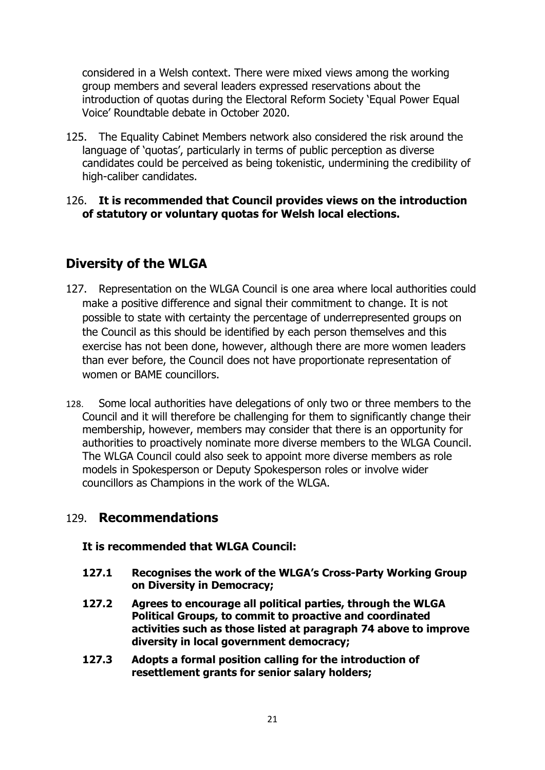considered in a Welsh context. There were mixed views among the working group members and several leaders expressed reservations about the introduction of quotas during the Electoral Reform Society 'Equal Power Equal Voice' Roundtable debate in October 2020.

125. The Equality Cabinet Members network also considered the risk around the language of 'quotas', particularly in terms of public perception as diverse candidates could be perceived as being tokenistic, undermining the credibility of high-caliber candidates.

#### 126. **It is recommended that Council provides views on the introduction of statutory or voluntary quotas for Welsh local elections.**

## **Diversity of the WLGA**

- 127. Representation on the WLGA Council is one area where local authorities could make a positive difference and signal their commitment to change. It is not possible to state with certainty the percentage of underrepresented groups on the Council as this should be identified by each person themselves and this exercise has not been done, however, although there are more women leaders than ever before, the Council does not have proportionate representation of women or BAME councillors.
- 128. Some local authorities have delegations of only two or three members to the Council and it will therefore be challenging for them to significantly change their membership, however, members may consider that there is an opportunity for authorities to proactively nominate more diverse members to the WLGA Council. The WLGA Council could also seek to appoint more diverse members as role models in Spokesperson or Deputy Spokesperson roles or involve wider councillors as Champions in the work of the WLGA.

#### 129. **Recommendations**

#### **It is recommended that WLGA Council:**

- **127.1 Recognises the work of the WLGA's Cross-Party Working Group on Diversity in Democracy;**
- **127.2 Agrees to encourage all political parties, through the WLGA Political Groups, to commit to proactive and coordinated activities such as those listed at paragraph 74 above to improve diversity in local government democracy;**
- **127.3 Adopts a formal position calling for the introduction of resettlement grants for senior salary holders;**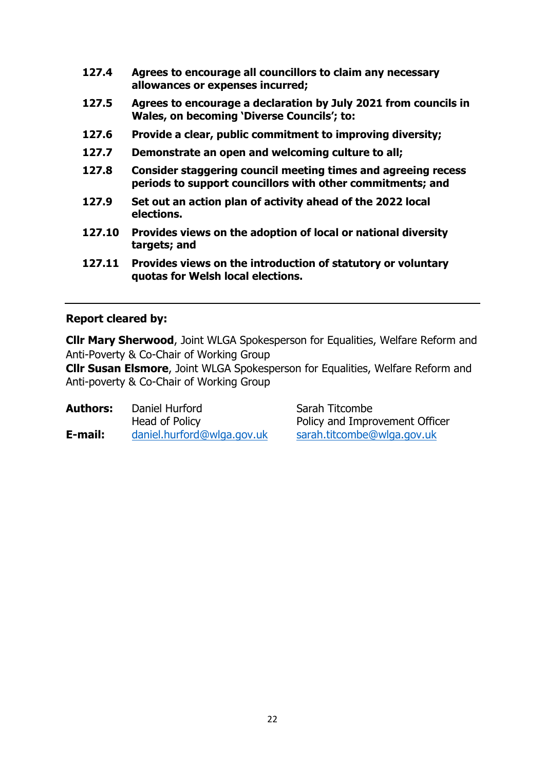- **127.4 Agrees to encourage all councillors to claim any necessary allowances or expenses incurred;**
- **127.5 Agrees to encourage a declaration by July 2021 from councils in Wales, on becoming 'Diverse Councils'; to:**
- **127.6 Provide a clear, public commitment to improving diversity;**
- **127.7 Demonstrate an open and welcoming culture to all;**
- **127.8 Consider staggering council meeting times and agreeing recess periods to support councillors with other commitments; and**
- **127.9 Set out an action plan of activity ahead of the 2022 local elections.**
- **127.10 Provides views on the adoption of local or national diversity targets; and**
- **127.11 Provides views on the introduction of statutory or voluntary quotas for Welsh local elections.**

#### **Report cleared by:**

**Cllr Mary Sherwood**, Joint WLGA Spokesperson for Equalities, Welfare Reform and Anti-Poverty & Co-Chair of Working Group

**Cllr Susan Elsmore**, Joint WLGA Spokesperson for Equalities, Welfare Reform and Anti-poverty & Co-Chair of Working Group

| <b>Authors:</b> | Daniel Hurford<br>Head of Policy | Sarah Titcombe<br>Policy and Improvement Officer |
|-----------------|----------------------------------|--------------------------------------------------|
| E-mail:         | daniel.hurford@wlga.gov.uk       | sarah.titcombe@wlga.gov.uk                       |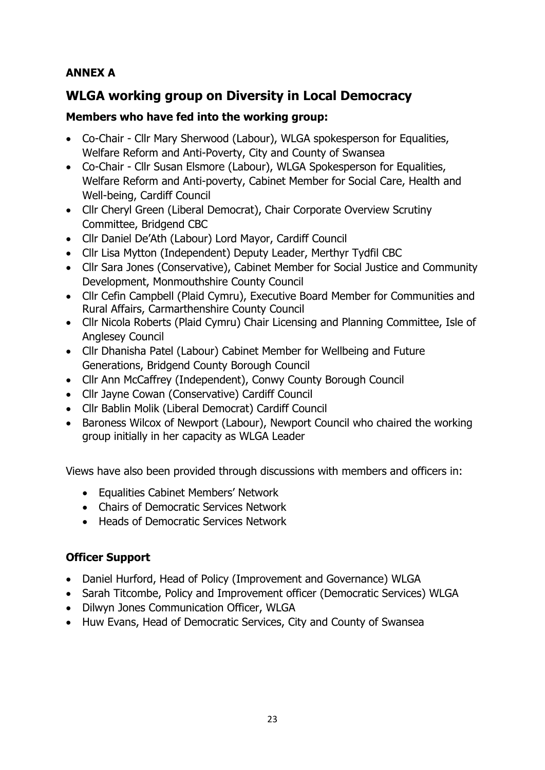## **ANNEX A**

# **WLGA working group on Diversity in Local Democracy**

#### **Members who have fed into the working group:**

- Co-Chair Cllr Mary Sherwood (Labour), WLGA spokesperson for Equalities, Welfare Reform and Anti-Poverty, City and County of Swansea
- Co-Chair Cllr Susan Elsmore (Labour), WLGA Spokesperson for Equalities, Welfare Reform and Anti-poverty, Cabinet Member for Social Care, Health and Well-being, Cardiff Council
- Cllr Cheryl Green (Liberal Democrat), Chair Corporate Overview Scrutiny Committee, Bridgend CBC
- Cllr Daniel De'Ath (Labour) Lord Mayor, Cardiff Council
- Cllr Lisa Mytton (Independent) Deputy Leader, Merthyr Tydfil CBC
- Cllr Sara Jones (Conservative), Cabinet Member for Social Justice and Community Development, Monmouthshire County Council
- Cllr Cefin Campbell (Plaid Cymru), Executive Board Member for Communities and Rural Affairs, Carmarthenshire County Council
- Cllr Nicola Roberts (Plaid Cymru) Chair Licensing and Planning Committee, Isle of Anglesey Council
- Cllr Dhanisha Patel (Labour) Cabinet Member for Wellbeing and Future Generations, Bridgend County Borough Council
- Cllr Ann McCaffrey (Independent), Conwy County Borough Council
- Cllr Jayne Cowan (Conservative) Cardiff Council
- Cllr Bablin Molik (Liberal Democrat) Cardiff Council
- Baroness Wilcox of Newport (Labour), Newport Council who chaired the working group initially in her capacity as WLGA Leader

Views have also been provided through discussions with members and officers in:

- Equalities Cabinet Members' Network
- Chairs of Democratic Services Network
- Heads of Democratic Services Network

### **Officer Support**

- Daniel Hurford, Head of Policy (Improvement and Governance) WLGA
- Sarah Titcombe, Policy and Improvement officer (Democratic Services) WLGA
- Dilwyn Jones Communication Officer, WLGA
- Huw Evans, Head of Democratic Services, City and County of Swansea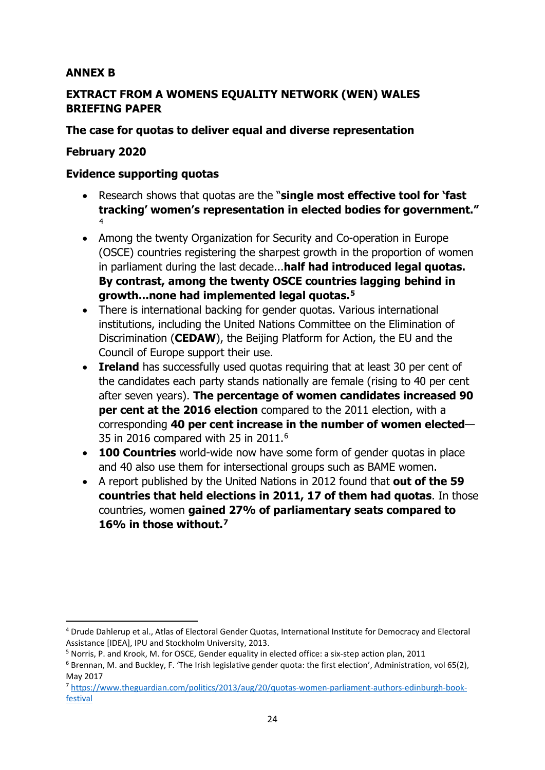#### **ANNEX B**

#### **EXTRACT FROM A WOMENS EQUALITY NETWORK (WEN) WALES BRIEFING PAPER**

#### **The case for quotas to deliver equal and diverse representation**

#### **February 2020**

#### **Evidence supporting quotas**

- Research shows that quotas are the "**single most effective tool for 'fast tracking' women's representation in elected bodies for government."** [4](#page-23-0)
- Among the twenty Organization for Security and Co-operation in Europe (OSCE) countries registering the sharpest growth in the proportion of women in parliament during the last decade...**half had introduced legal quotas. By contrast, among the twenty OSCE countries lagging behind in growth...none had implemented legal quotas.[5](#page-23-1)**
- There is international backing for gender quotas. Various international institutions, including the United Nations Committee on the Elimination of Discrimination (**CEDAW**), the Beijing Platform for Action, the EU and the Council of Europe support their use.
- **Ireland** has successfully used quotas requiring that at least 30 per cent of the candidates each party stands nationally are female (rising to 40 per cent after seven years). **The percentage of women candidates increased 90 per cent at the 2016 election** compared to the 2011 election, with a corresponding **40 per cent increase in the number of women elected**— 35 in 2016 compared with 25 in 2011.[6](#page-23-2)
- **100 Countries** world-wide now have some form of gender quotas in place and 40 also use them for intersectional groups such as BAME women.
- A report published by the United Nations in 2012 found that **out of the 59 countries that held elections in 2011, 17 of them had quotas**. In those countries, women **gained 27% of parliamentary seats compared to 16% in those without.[7](#page-23-3)**

<span id="page-23-0"></span><sup>4</sup> Drude Dahlerup et al., Atlas of Electoral Gender Quotas, International Institute for Democracy and Electoral Assistance [IDEA], IPU and Stockholm University, 2013.

<span id="page-23-1"></span><sup>5</sup> Norris, P. and Krook, M. for OSCE, Gender equality in elected office: a six-step action plan, 2011

<span id="page-23-2"></span><sup>6</sup> Brennan, M. and Buckley, F. 'The Irish legislative gender quota: the first election', Administration, vol 65(2), May 2017

<span id="page-23-3"></span><sup>7</sup> [https://www.theguardian.com/politics/2013/aug/20/quotas-women-parliament-authors-edinburgh-book](https://www.theguardian.com/politics/2013/aug/20/quotas-women-parliament-authors-edinburgh-book-festival)[festival](https://www.theguardian.com/politics/2013/aug/20/quotas-women-parliament-authors-edinburgh-book-festival)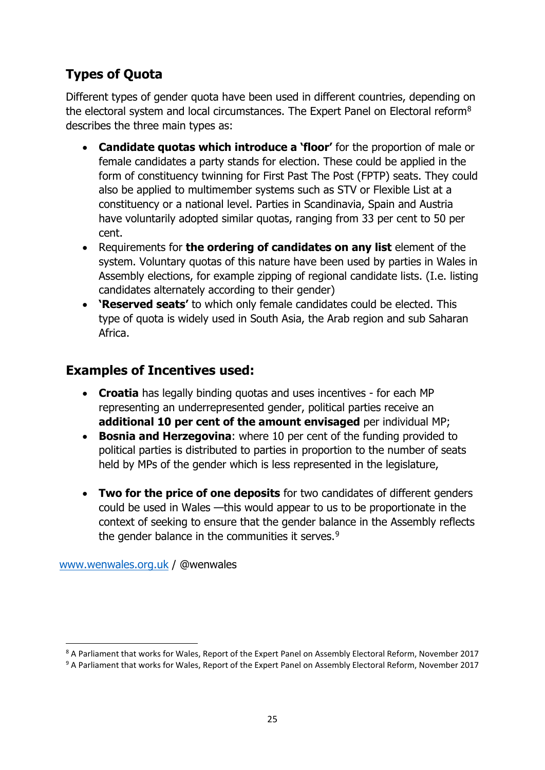# **Types of Quota**

Different types of gender quota have been used in different countries, depending on the electoral system and local circumstances. The Expert Panel on Electoral reform<sup>[8](#page-24-0)</sup> describes the three main types as:

- **Candidate quotas which introduce a 'floor'** for the proportion of male or female candidates a party stands for election. These could be applied in the form of constituency twinning for First Past The Post (FPTP) seats. They could also be applied to multimember systems such as STV or Flexible List at a constituency or a national level. Parties in Scandinavia, Spain and Austria have voluntarily adopted similar quotas, ranging from 33 per cent to 50 per cent.
- Requirements for **the ordering of candidates on any list** element of the system. Voluntary quotas of this nature have been used by parties in Wales in Assembly elections, for example zipping of regional candidate lists. (I.e. listing candidates alternately according to their gender)
- **'Reserved seats'** to which only female candidates could be elected. This type of quota is widely used in South Asia, the Arab region and sub Saharan Africa.

# **Examples of Incentives used:**

- **Croatia** has legally binding quotas and uses incentives for each MP representing an underrepresented gender, political parties receive an **additional 10 per cent of the amount envisaged** per individual MP;
- **Bosnia and Herzegovina**: where 10 per cent of the funding provided to political parties is distributed to parties in proportion to the number of seats held by MPs of the gender which is less represented in the legislature,
- **Two for the price of one deposits** for two candidates of different genders could be used in Wales —this would appear to us to be proportionate in the context of seeking to ensure that the gender balance in the Assembly reflects the gender balance in the communities it serves.<sup>[9](#page-24-1)</sup>

[www.wenwales.org.uk](http://www.wenwales.org.uk/) / @wenwales

<span id="page-24-0"></span><sup>&</sup>lt;sup>8</sup> A Parliament that works for Wales, Report of the Expert Panel on Assembly Electoral Reform, November 2017 <br><sup>9</sup> A Parliament that works for Wales, Report of the Expert Panel on Assembly Electoral Reform, November 2017

<span id="page-24-1"></span>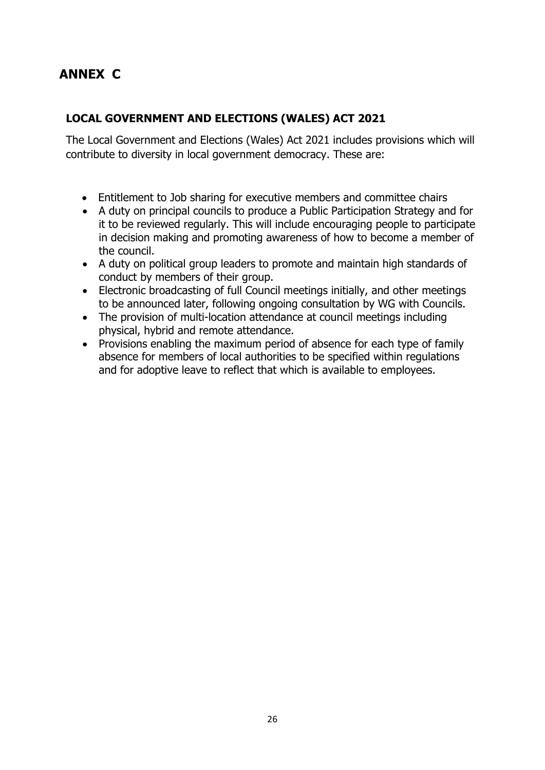# **ANNEX C**

#### **LOCAL GOVERNMENT AND ELECTIONS (WALES) ACT 2021**

The Local Government and Elections (Wales) Act 2021 includes provisions which will contribute to diversity in local government democracy. These are:

- Entitlement to Job sharing for executive members and committee chairs
- A duty on principal councils to produce a Public Participation Strategy and for it to be reviewed regularly. This will include encouraging people to participate in decision making and promoting awareness of how to become a member of the council.
- A duty on political group leaders to promote and maintain high standards of conduct by members of their group.
- Electronic broadcasting of full Council meetings initially, and other meetings to be announced later, following ongoing consultation by WG with Councils.
- The provision of multi-location attendance at council meetings including physical, hybrid and remote attendance.
- Provisions enabling the maximum period of absence for each type of family absence for members of local authorities to be specified within regulations and for adoptive leave to reflect that which is available to employees.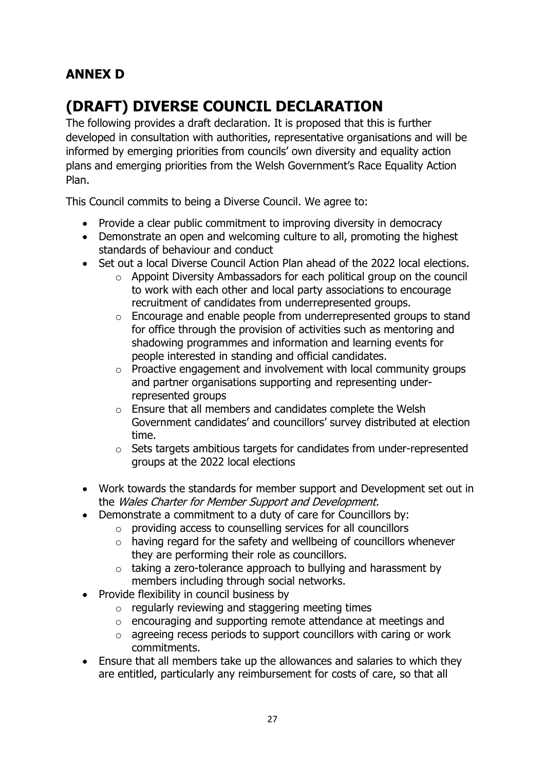# **ANNEX D**

# **(DRAFT) DIVERSE COUNCIL DECLARATION**

The following provides a draft declaration. It is proposed that this is further developed in consultation with authorities, representative organisations and will be informed by emerging priorities from councils' own diversity and equality action plans and emerging priorities from the Welsh Government's Race Equality Action Plan.

This Council commits to being a Diverse Council. We agree to:

- Provide a clear public commitment to improving diversity in democracy
- Demonstrate an open and welcoming culture to all, promoting the highest standards of behaviour and conduct
- Set out a local Diverse Council Action Plan ahead of the 2022 local elections.
	- o Appoint Diversity Ambassadors for each political group on the council to work with each other and local party associations to encourage recruitment of candidates from underrepresented groups.
	- o Encourage and enable people from underrepresented groups to stand for office through the provision of activities such as mentoring and shadowing programmes and information and learning events for people interested in standing and official candidates.
	- o Proactive engagement and involvement with local community groups and partner organisations supporting and representing underrepresented groups
	- o Ensure that all members and candidates complete the Welsh Government candidates' and councillors' survey distributed at election time.
	- o Sets targets ambitious targets for candidates from under-represented groups at the 2022 local elections
- Work towards the standards for member support and Development set out in the Wales Charter for Member Support and Development.
- Demonstrate a commitment to a duty of care for Councillors by:
	- o providing access to counselling services for all councillors
	- o having regard for the safety and wellbeing of councillors whenever they are performing their role as councillors.
	- $\circ$  taking a zero-tolerance approach to bullying and harassment by members including through social networks.
- Provide flexibility in council business by
	- $\circ$  regularly reviewing and staggering meeting times
	- o encouraging and supporting remote attendance at meetings and
	- o agreeing recess periods to support councillors with caring or work commitments.
- Ensure that all members take up the allowances and salaries to which they are entitled, particularly any reimbursement for costs of care, so that all